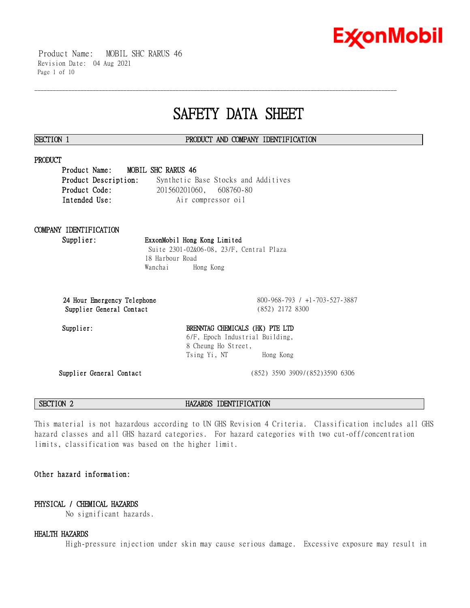

 Product Name: MOBIL SHC RARUS 46 Revision Date: 04 Aug 2021 Page 1 of 10

# **SAFETY DATA SHEET**

\_\_\_\_\_\_\_\_\_\_\_\_\_\_\_\_\_\_\_\_\_\_\_\_\_\_\_\_\_\_\_\_\_\_\_\_\_\_\_\_\_\_\_\_\_\_\_\_\_\_\_\_\_\_\_\_\_\_\_\_\_\_\_\_\_\_\_\_\_\_\_\_\_\_\_\_\_\_\_\_\_\_\_\_\_\_\_\_\_\_\_\_\_\_\_\_\_\_\_\_\_\_\_\_\_\_\_\_\_\_\_\_\_\_\_\_\_\_

#### **SECTION 1 PRODUCT AND COMPANY IDENTIFICATION**

### **PRODUCT**

**Product Name: MOBIL SHC RARUS 46 Product Description:** Synthetic Base Stocks and Additives **Product Code:** 201560201060, 608760-80 **Intended Use:** Air compressor oil

## **COMPANY IDENTIFICATION**

### **Supplier: ExxonMobil Hong Kong Limited** Suite 2301-02&06-08, 23/F, Central Plaza

18 Harbour Road Wanchai Hong Kong

**Supplier General Contact** (852) 2172 8300

**24 Hour Emergency Telephone** 800-968-793 / +1-703-527-3887

#### Supplier: BRENNTAG CHEMICALS (HK) PTE LTD 6/F, Epoch Industrial Building, 8 Cheung Ho Street, Tsing Yi, NT Hong Kong

**Supplier General Contact** (852) 3590 3909/(852)3590 6306

**SECTION 2 HAZARDS IDENTIFICATION**

This material is not hazardous according to UN GHS Revision 4 Criteria. Classification includes all GHS hazard classes and all GHS hazard categories. For hazard categories with two cut-off/concentration limits, classification was based on the higher limit.

### **Other hazard information:**

### **PHYSICAL / CHEMICAL HAZARDS**

No significant hazards.

#### **HEALTH HAZARDS**

High-pressure injection under skin may cause serious damage. Excessive exposure may result in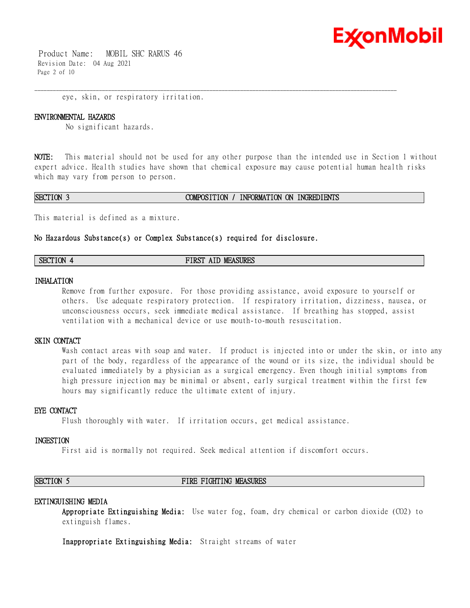

 Product Name: MOBIL SHC RARUS 46 Revision Date: 04 Aug 2021 Page 2 of 10

eye, skin, or respiratory irritation.

#### **ENVIRONMENTAL HAZARDS**

No significant hazards.

**NOTE:** This material should not be used for any other purpose than the intended use in Section 1 without expert advice. Health studies have shown that chemical exposure may cause potential human health risks which may vary from person to person.

\_\_\_\_\_\_\_\_\_\_\_\_\_\_\_\_\_\_\_\_\_\_\_\_\_\_\_\_\_\_\_\_\_\_\_\_\_\_\_\_\_\_\_\_\_\_\_\_\_\_\_\_\_\_\_\_\_\_\_\_\_\_\_\_\_\_\_\_\_\_\_\_\_\_\_\_\_\_\_\_\_\_\_\_\_\_\_\_\_\_\_\_\_\_\_\_\_\_\_\_\_\_\_\_\_\_\_\_\_\_\_\_\_\_\_\_\_\_

#### **SECTION 3 COMPOSITION / INFORMATION ON INGREDIENTS**

This material is defined as a mixture.

#### **No Hazardous Substance(s) or Complex Substance(s) required for disclosure.**

| <b>SECTION</b> | <b>MEASURES</b><br>FIRST<br>AIP |  |
|----------------|---------------------------------|--|
|----------------|---------------------------------|--|

#### **INHALATION**

Remove from further exposure. For those providing assistance, avoid exposure to yourself or others. Use adequate respiratory protection. If respiratory irritation, dizziness, nausea, or unconsciousness occurs, seek immediate medical assistance. If breathing has stopped, assist ventilation with a mechanical device or use mouth-to-mouth resuscitation.

#### **SKIN CONTACT**

Wash contact areas with soap and water. If product is injected into or under the skin, or into any part of the body, regardless of the appearance of the wound or its size, the individual should be evaluated immediately by a physician as a surgical emergency. Even though initial symptoms from high pressure injection may be minimal or absent, early surgical treatment within the first few hours may significantly reduce the ultimate extent of injury.

#### **EYE CONTACT**

Flush thoroughly with water. If irritation occurs, get medical assistance.

#### **INGESTION**

First aid is normally not required. Seek medical attention if discomfort occurs.

#### **SECTION 5 FIRE FIGHTING MEASURES**

#### **EXTINGUISHING MEDIA**

**Appropriate Extinguishing Media:** Use water fog, foam, dry chemical or carbon dioxide (CO2) to extinguish flames.

**Inappropriate Extinguishing Media:** Straight streams of water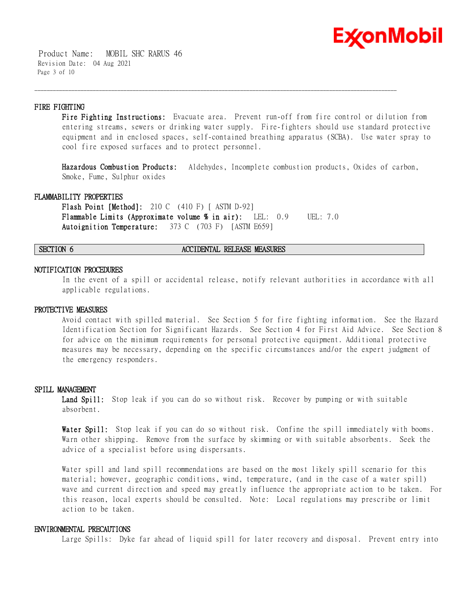

 Product Name: MOBIL SHC RARUS 46 Revision Date: 04 Aug 2021 Page 3 of 10

#### **FIRE FIGHTING**

**Fire Fighting Instructions:** Evacuate area. Prevent run-off from fire control or dilution from entering streams, sewers or drinking water supply. Fire-fighters should use standard protective equipment and in enclosed spaces, self-contained breathing apparatus (SCBA). Use water spray to cool fire exposed surfaces and to protect personnel.

\_\_\_\_\_\_\_\_\_\_\_\_\_\_\_\_\_\_\_\_\_\_\_\_\_\_\_\_\_\_\_\_\_\_\_\_\_\_\_\_\_\_\_\_\_\_\_\_\_\_\_\_\_\_\_\_\_\_\_\_\_\_\_\_\_\_\_\_\_\_\_\_\_\_\_\_\_\_\_\_\_\_\_\_\_\_\_\_\_\_\_\_\_\_\_\_\_\_\_\_\_\_\_\_\_\_\_\_\_\_\_\_\_\_\_\_\_\_

**Hazardous Combustion Products:** Aldehydes, Incomplete combustion products, Oxides of carbon, Smoke, Fume, Sulphur oxides

#### **FLAMMABILITY PROPERTIES**

**Flash Point [Method]:** 210 C (410 F) [ ASTM D-92] **Flammable Limits (Approximate volume % in air):** LEL: 0.9 UEL: 7.0 **Autoignition Temperature:** 373 C (703 F) [ASTM E659]

#### **SECTION 6 ACCIDENTAL RELEASE MEASURES**

#### **NOTIFICATION PROCEDURES**

In the event of a spill or accidental release, notify relevant authorities in accordance with all applicable regulations.

#### **PROTECTIVE MEASURES**

Avoid contact with spilled material. See Section 5 for fire fighting information. See the Hazard Identification Section for Significant Hazards. See Section 4 for First Aid Advice. See Section 8 for advice on the minimum requirements for personal protective equipment. Additional protective measures may be necessary, depending on the specific circumstances and/or the expert judgment of the emergency responders.

#### **SPILL MANAGEMENT**

**Land Spill:** Stop leak if you can do so without risk. Recover by pumping or with suitable absorbent.

**Water Spill:** Stop leak if you can do so without risk. Confine the spill immediately with booms. Warn other shipping. Remove from the surface by skimming or with suitable absorbents. Seek the advice of a specialist before using dispersants.

Water spill and land spill recommendations are based on the most likely spill scenario for this material; however, geographic conditions, wind, temperature, (and in the case of a water spill) wave and current direction and speed may greatly influence the appropriate action to be taken. For this reason, local experts should be consulted. Note: Local regulations may prescribe or limit action to be taken.

#### **ENVIRONMENTAL PRECAUTIONS**

Large Spills: Dyke far ahead of liquid spill for later recovery and disposal. Prevent entry into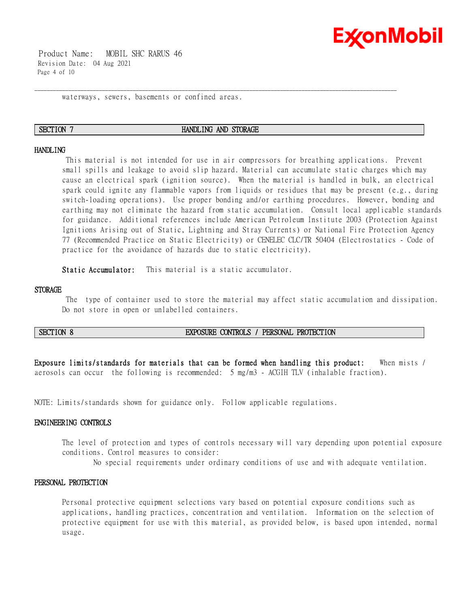

 Product Name: MOBIL SHC RARUS 46 Revision Date: 04 Aug 2021 Page 4 of 10

waterways, sewers, basements or confined areas.

#### **SECTION 7 HANDLING AND STORAGE**

\_\_\_\_\_\_\_\_\_\_\_\_\_\_\_\_\_\_\_\_\_\_\_\_\_\_\_\_\_\_\_\_\_\_\_\_\_\_\_\_\_\_\_\_\_\_\_\_\_\_\_\_\_\_\_\_\_\_\_\_\_\_\_\_\_\_\_\_\_\_\_\_\_\_\_\_\_\_\_\_\_\_\_\_\_\_\_\_\_\_\_\_\_\_\_\_\_\_\_\_\_\_\_\_\_\_\_\_\_\_\_\_\_\_\_\_\_\_

#### **HANDLING**

This material is not intended for use in air compressors for breathing applications. Prevent small spills and leakage to avoid slip hazard. Material can accumulate static charges which may cause an electrical spark (ignition source). When the material is handled in bulk, an electrical spark could ignite any flammable vapors from liquids or residues that may be present (e.g., during switch-loading operations). Use proper bonding and/or earthing procedures. However, bonding and earthing may not eliminate the hazard from static accumulation. Consult local applicable standards for guidance. Additional references include American Petroleum Institute 2003 (Protection Against Ignitions Arising out of Static, Lightning and Stray Currents) or National Fire Protection Agency 77 (Recommended Practice on Static Electricity) or CENELEC CLC/TR 50404 (Electrostatics - Code of practice for the avoidance of hazards due to static electricity).

**Static Accumulator:** This material is a static accumulator.

#### **STORAGE**

The type of container used to store the material may affect static accumulation and dissipation. Do not store in open or unlabelled containers.

#### **SECTION 8 EXPOSURE CONTROLS / PERSONAL PROTECTION**

**Exposure limits/standards for materials that can be formed when handling this product:** When mists / aerosols can occur the following is recommended: 5 mg/m3 - ACGIH TLV (inhalable fraction).

NOTE: Limits/standards shown for guidance only. Follow applicable regulations.

#### **ENGINEERING CONTROLS**

The level of protection and types of controls necessary will vary depending upon potential exposure conditions. Control measures to consider:

No special requirements under ordinary conditions of use and with adequate ventilation.

#### **PERSONAL PROTECTION**

Personal protective equipment selections vary based on potential exposure conditions such as applications, handling practices, concentration and ventilation. Information on the selection of protective equipment for use with this material, as provided below, is based upon intended, normal usage.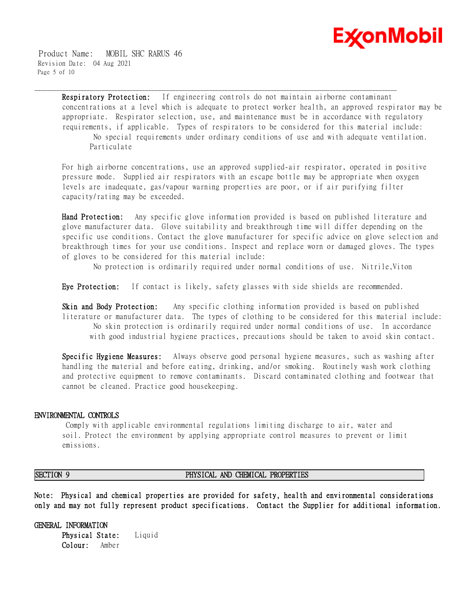

 Product Name: MOBIL SHC RARUS 46 Revision Date: 04 Aug 2021 Page 5 of 10

> **Respiratory Protection:** If engineering controls do not maintain airborne contaminant concentrations at a level which is adequate to protect worker health, an approved respirator may be appropriate. Respirator selection, use, and maintenance must be in accordance with regulatory requirements, if applicable. Types of respirators to be considered for this material include: No special requirements under ordinary conditions of use and with adequate ventilation. Particulate

\_\_\_\_\_\_\_\_\_\_\_\_\_\_\_\_\_\_\_\_\_\_\_\_\_\_\_\_\_\_\_\_\_\_\_\_\_\_\_\_\_\_\_\_\_\_\_\_\_\_\_\_\_\_\_\_\_\_\_\_\_\_\_\_\_\_\_\_\_\_\_\_\_\_\_\_\_\_\_\_\_\_\_\_\_\_\_\_\_\_\_\_\_\_\_\_\_\_\_\_\_\_\_\_\_\_\_\_\_\_\_\_\_\_\_\_\_\_

For high airborne concentrations, use an approved supplied-air respirator, operated in positive pressure mode. Supplied air respirators with an escape bottle may be appropriate when oxygen levels are inadequate, gas/vapour warning properties are poor, or if air purifying filter capacity/rating may be exceeded.

**Hand Protection:** Any specific glove information provided is based on published literature and glove manufacturer data. Glove suitability and breakthrough time will differ depending on the specific use conditions. Contact the glove manufacturer for specific advice on glove selection and breakthrough times for your use conditions. Inspect and replace worn or damaged gloves. The types of gloves to be considered for this material include:

No protection is ordinarily required under normal conditions of use. Nitrile,Viton

**Eye Protection:** If contact is likely, safety glasses with side shields are recommended.

**Skin and Body Protection:** Any specific clothing information provided is based on published literature or manufacturer data. The types of clothing to be considered for this material include: No skin protection is ordinarily required under normal conditions of use. In accordance with good industrial hygiene practices, precautions should be taken to avoid skin contact.

**Specific Hygiene Measures:** Always observe good personal hygiene measures, such as washing after handling the material and before eating, drinking, and/or smoking. Routinely wash work clothing and protective equipment to remove contaminants. Discard contaminated clothing and footwear that cannot be cleaned. Practice good housekeeping.

#### **ENVIRONMENTAL CONTROLS**

Comply with applicable environmental regulations limiting discharge to air, water and soil. Protect the environment by applying appropriate control measures to prevent or limit emissions.

#### **SECTION 9 PHYSICAL AND CHEMICAL PROPERTIES**

**Note: Physical and chemical properties are provided for safety, health and environmental considerations only and may not fully represent product specifications. Contact the Supplier for additional information.**

**GENERAL INFORMATION Physical State:** Liquid **Colour:** Amber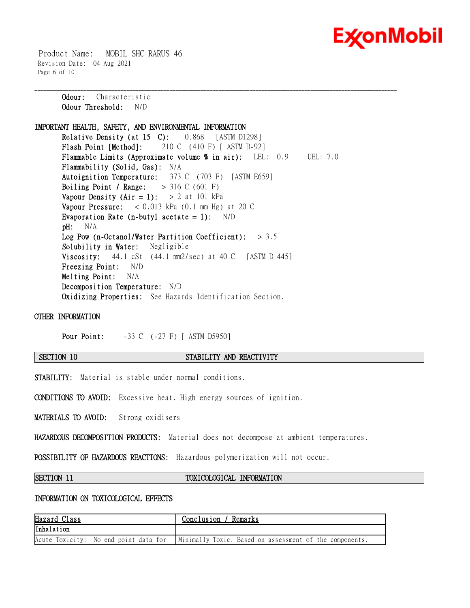

 Product Name: MOBIL SHC RARUS 46 Revision Date: 04 Aug 2021 Page 6 of 10

> **Odour:** Characteristic **Odour Threshold:** N/D

**IMPORTANT HEALTH, SAFETY, AND ENVIRONMENTAL INFORMATION Relative Density (at 15 C):** 0.868 [ASTM D1298] **Flash Point [Method]:** 210 C (410 F) [ ASTM D-92] **Flammable Limits (Approximate volume % in air):** LEL: 0.9 UEL: 7.0 **Flammability (Solid, Gas):** N/A **Autoignition Temperature:** 373 C (703 F) [ASTM E659] **Boiling Point / Range:** > 316 C (601 F) **Vapour Density (Air = 1):**  $> 2$  at 101 kPa **Vapour Pressure:** < 0.013 kPa (0.1 mm Hg) at 20 C **Evaporation Rate (n-butyl acetate = 1):** N/D **pH:** N/A **Log Pow (n-Octanol/Water Partition Coefficient):** > 3.5 **Solubility in Water:** Negligible **Viscosity:** 44.1 cSt (44.1 mm2/sec) at 40 C [ASTM D 445] **Freezing Point:** N/D **Melting Point:** N/A **Decomposition Temperature:** N/D **Oxidizing Properties:** See Hazards Identification Section.

\_\_\_\_\_\_\_\_\_\_\_\_\_\_\_\_\_\_\_\_\_\_\_\_\_\_\_\_\_\_\_\_\_\_\_\_\_\_\_\_\_\_\_\_\_\_\_\_\_\_\_\_\_\_\_\_\_\_\_\_\_\_\_\_\_\_\_\_\_\_\_\_\_\_\_\_\_\_\_\_\_\_\_\_\_\_\_\_\_\_\_\_\_\_\_\_\_\_\_\_\_\_\_\_\_\_\_\_\_\_\_\_\_\_\_\_\_\_

**OTHER INFORMATION**

**Pour Point:**  $-33 \text{ C}$  (-27 F) [ ASTM D5950]

#### **SECTION 10 STABILITY AND REACTIVITY**

**STABILITY:** Material is stable under normal conditions.

**CONDITIONS TO AVOID:** Excessive heat. High energy sources of ignition.

**MATERIALS TO AVOID:** Strong oxidisers

**HAZARDOUS DECOMPOSITION PRODUCTS:** Material does not decompose at ambient temperatures.

**POSSIBILITY OF HAZARDOUS REACTIONS:** Hazardous polymerization will not occur.

### **SECTION 11 TOXICOLOGICAL INFORMATION**

### **INFORMATION ON TOXICOLOGICAL EFFECTS**

| Hazard Class                          | Conclusion / Remarks                                    |
|---------------------------------------|---------------------------------------------------------|
| Inhalation                            |                                                         |
| Acute Toxicity: No end point data for | Minimally Toxic. Based on assessment of the components. |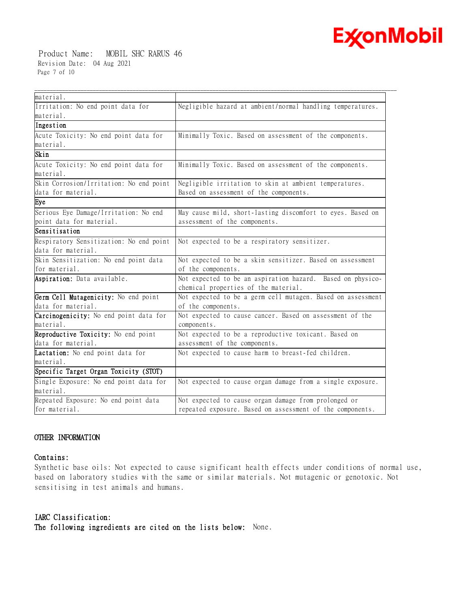

 Product Name: MOBIL SHC RARUS 46 Revision Date: 04 Aug 2021 Page 7 of 10

| material.                               |                                                             |
|-----------------------------------------|-------------------------------------------------------------|
| Irritation: No end point data for       | Negligible hazard at ambient/normal handling temperatures.  |
| material.                               |                                                             |
| Ingestion                               |                                                             |
| Acute Toxicity: No end point data for   | Minimally Toxic. Based on assessment of the components.     |
| material.                               |                                                             |
| Skin                                    |                                                             |
| Acute Toxicity: No end point data for   | Minimally Toxic. Based on assessment of the components.     |
| material.                               |                                                             |
| Skin Corrosion/Irritation: No end point | Negligible irritation to skin at ambient temperatures.      |
| data for material.                      | Based on assessment of the components.                      |
| Eye                                     |                                                             |
| Serious Eye Damage/Irritation: No end   | May cause mild, short-lasting discomfort to eyes. Based on  |
| point data for material.                | assessment of the components.                               |
| Sensitisation                           |                                                             |
| Respiratory Sensitization: No end point | Not expected to be a respiratory sensitizer.                |
| data for material.                      |                                                             |
| Skin Sensitization: No end point data   | Not expected to be a skin sensitizer. Based on assessment   |
| for material.                           | of the components.                                          |
| Aspiration: Data available.             | Not expected to be an aspiration hazard. Based on physico-  |
|                                         | chemical properties of the material.                        |
| Germ Cell Mutagenicity: No end point    | Not expected to be a germ cell mutagen. Based on assessment |
| data for material.                      | of the components.                                          |
| Carcinogenicity: No end point data for  | Not expected to cause cancer. Based on assessment of the    |
| material.                               | components.                                                 |
| Reproductive Toxicity: No end point     | Not expected to be a reproductive toxicant. Based on        |
| data for material.                      | assessment of the components.                               |
| Lactation: No end point data for        | Not expected to cause harm to breast-fed children.          |
| material.                               |                                                             |
| Specific Target Organ Toxicity (STOT)   |                                                             |
| Single Exposure: No end point data for  | Not expected to cause organ damage from a single exposure.  |
| material.                               |                                                             |
| Repeated Exposure: No end point data    | Not expected to cause organ damage from prolonged or        |
| for material.                           | repeated exposure. Based on assessment of the components.   |

\_\_\_\_\_\_\_\_\_\_\_\_\_\_\_\_\_\_\_\_\_\_\_\_\_\_\_\_\_\_\_\_\_\_\_\_\_\_\_\_\_\_\_\_\_\_\_\_\_\_\_\_\_\_\_\_\_\_\_\_\_\_\_\_\_\_\_\_\_\_\_\_\_\_\_\_\_\_\_\_\_\_\_\_\_\_\_\_\_\_\_\_\_\_\_\_\_\_\_\_\_\_\_\_\_\_\_\_\_\_\_\_\_\_\_\_\_\_

### **OTHER INFORMATION**

### **Contains:**

Synthetic base oils: Not expected to cause significant health effects under conditions of normal use, based on laboratory studies with the same or similar materials. Not mutagenic or genotoxic. Not sensitising in test animals and humans.

**IARC Classification: The following ingredients are cited on the lists below:** None.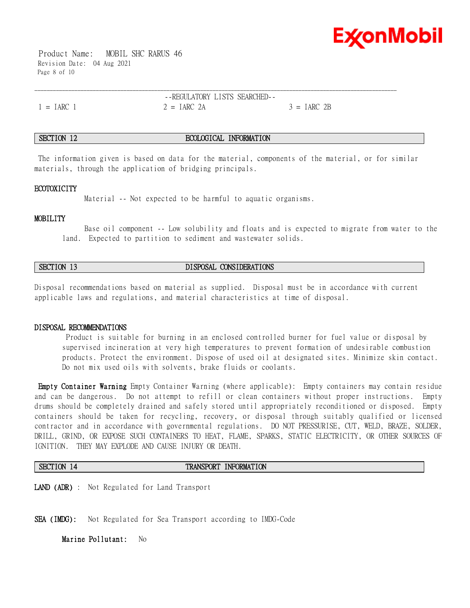

 Product Name: MOBIL SHC RARUS 46 Revision Date: 04 Aug 2021 Page 8 of 10

--REGULATORY LISTS SEARCHED--  $1 = IARC$  1  $2 = IARC$  2A  $3 = IARC$  2B

\_\_\_\_\_\_\_\_\_\_\_\_\_\_\_\_\_\_\_\_\_\_\_\_\_\_\_\_\_\_\_\_\_\_\_\_\_\_\_\_\_\_\_\_\_\_\_\_\_\_\_\_\_\_\_\_\_\_\_\_\_\_\_\_\_\_\_\_\_\_\_\_\_\_\_\_\_\_\_\_\_\_\_\_\_\_\_\_\_\_\_\_\_\_\_\_\_\_\_\_\_\_\_\_\_\_\_\_\_\_\_\_\_\_\_\_\_\_

### **SECTION 12 ECOLOGICAL INFORMATION**

The information given is based on data for the material, components of the material, or for similar materials, through the application of bridging principals.

#### **ECOTOXICITY**

Material -- Not expected to be harmful to aquatic organisms.

#### **MOBILITY**

 Base oil component -- Low solubility and floats and is expected to migrate from water to the land. Expected to partition to sediment and wastewater solids.

### **SECTION 13 DISPOSAL CONSIDERATIONS**

Disposal recommendations based on material as supplied. Disposal must be in accordance with current applicable laws and regulations, and material characteristics at time of disposal.

#### **DISPOSAL RECOMMENDATIONS**

Product is suitable for burning in an enclosed controlled burner for fuel value or disposal by supervised incineration at very high temperatures to prevent formation of undesirable combustion products. Protect the environment. Dispose of used oil at designated sites. Minimize skin contact. Do not mix used oils with solvents, brake fluids or coolants.

**Empty Container Warning** Empty Container Warning (where applicable): Empty containers may contain residue and can be dangerous. Do not attempt to refill or clean containers without proper instructions. Empty drums should be completely drained and safely stored until appropriately reconditioned or disposed. Empty containers should be taken for recycling, recovery, or disposal through suitably qualified or licensed contractor and in accordance with governmental regulations. DO NOT PRESSURISE, CUT, WELD, BRAZE, SOLDER, DRILL, GRIND, OR EXPOSE SUCH CONTAINERS TO HEAT, FLAME, SPARKS, STATIC ELECTRICITY, OR OTHER SOURCES OF IGNITION. THEY MAY EXPLODE AND CAUSE INJURY OR DEATH.

#### **SECTION 14 TRANSPORT INFORMATION**

**LAND (ADR)** : Not Regulated for Land Transport

**SEA (IMDG):** Not Regulated for Sea Transport according to IMDG-Code

**Marine Pollutant:** No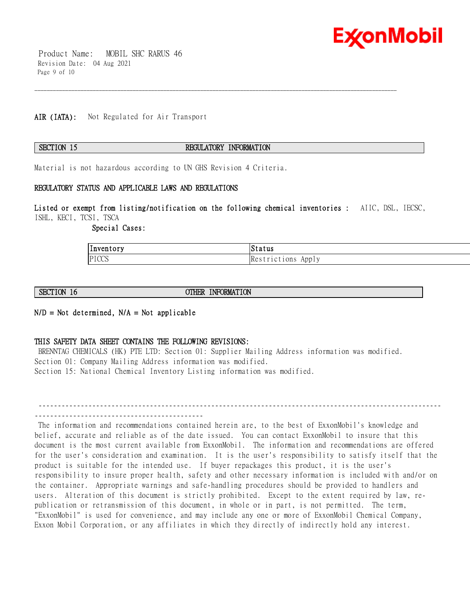

 Product Name: MOBIL SHC RARUS 46 Revision Date: 04 Aug 2021 Page 9 of 10

#### **AIR (IATA):** Not Regulated for Air Transport

### **SECTION 15 REGULATORY INFORMATION**

\_\_\_\_\_\_\_\_\_\_\_\_\_\_\_\_\_\_\_\_\_\_\_\_\_\_\_\_\_\_\_\_\_\_\_\_\_\_\_\_\_\_\_\_\_\_\_\_\_\_\_\_\_\_\_\_\_\_\_\_\_\_\_\_\_\_\_\_\_\_\_\_\_\_\_\_\_\_\_\_\_\_\_\_\_\_\_\_\_\_\_\_\_\_\_\_\_\_\_\_\_\_\_\_\_\_\_\_\_\_\_\_\_\_\_\_\_\_

Material is not hazardous according to UN GHS Revision 4 Criteria.

#### **REGULATORY STATUS AND APPLICABLE LAWS AND REGULATIONS**

#### **Listed or exempt from listing/notification on the following chemical inventories :** AIIC, DSL, IECSC, ISHL, KECI, TCSI, TSCA

 **Special Cases:** 

| ' –<br> Inventory | IStatus                                          |
|-------------------|--------------------------------------------------|
| PICCS             | 10ns<br>App <sub>1</sub><br>lke.<br>$\mathbf{A}$ |

**SECTION 16 OTHER INFORMATION** 

#### **N/D = Not determined, N/A = Not applicable**

#### **THIS SAFETY DATA SHEET CONTAINS THE FOLLOWING REVISIONS:**

BRENNTAG CHEMICALS (HK) PTE LTD: Section 01: Supplier Mailing Address information was modified. Section 01: Company Mailing Address information was modified. Section 15: National Chemical Inventory Listing information was modified.

--------------------------------------------------------------------------------------------------------- --------------------------------------------

The information and recommendations contained herein are, to the best of ExxonMobil's knowledge and belief, accurate and reliable as of the date issued. You can contact ExxonMobil to insure that this document is the most current available from ExxonMobil. The information and recommendations are offered for the user's consideration and examination. It is the user's responsibility to satisfy itself that the product is suitable for the intended use. If buyer repackages this product, it is the user's responsibility to insure proper health, safety and other necessary information is included with and/or on the container. Appropriate warnings and safe-handling procedures should be provided to handlers and users. Alteration of this document is strictly prohibited. Except to the extent required by law, republication or retransmission of this document, in whole or in part, is not permitted. The term, "ExxonMobil" is used for convenience, and may include any one or more of ExxonMobil Chemical Company, Exxon Mobil Corporation, or any affiliates in which they directly of indirectly hold any interest.